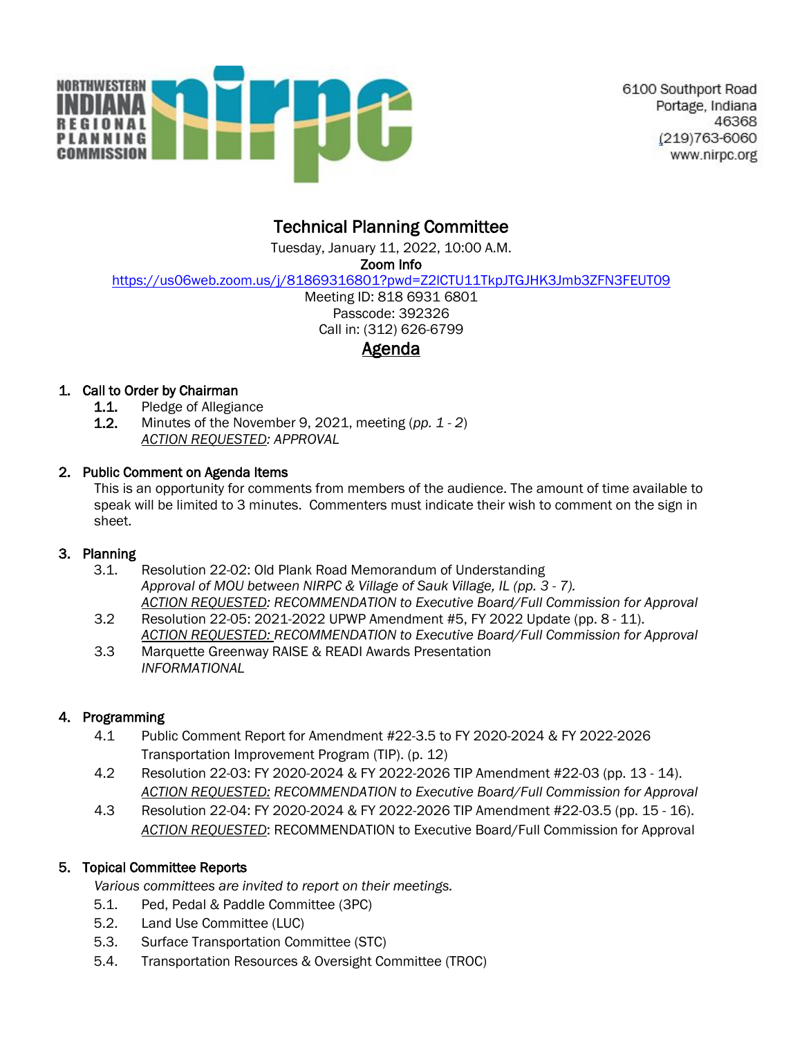

6100 Southport Road Portage, Indiana 46368 (219)763-6060 www.nirpc.org

# Technical Planning Committee

Tuesday, January 11, 2022, 10:00 A.M.

Zoom Info

<https://us06web.zoom.us/j/81869316801?pwd=Z2lCTU11TkpJTGJHK3Jmb3ZFN3FEUT09>

Meeting ID: 818 6931 6801 Passcode: 392326 Call in: (312) 626-6799 Agenda

## 1. Call to Order by Chairman

- **1.1.** Pledge of Allegiance
- 1.2. Minutes of the November 9, 2021, meeting (*pp. 1 - 2*) *ACTION REQUESTED: APPROVAL*

#### 2. Public Comment on Agenda Items

This is an opportunity for comments from members of the audience. The amount of time available to speak will be limited to 3 minutes. Commenters must indicate their wish to comment on the sign in sheet.

## 3. Planning

- 3.1. Resolution 22-02: Old Plank Road Memorandum of Understanding *Approval of MOU between NIRPC & Village of Sauk Village, IL (pp. 3 - 7). ACTION REQUESTED: RECOMMENDATION to Executive Board/Full Commission for Approval*
- 3.2 Resolution 22-05: 2021-2022 UPWP Amendment #5, FY 2022 Update (pp. 8 11). *ACTION REQUESTED: RECOMMENDATION to Executive Board/Full Commission for Approval*
- 3.3 Marquette Greenway RAISE & READI Awards Presentation *INFORMATIONAL*

## 4. Programming

- 4.1 Public Comment Report for Amendment #22-3.5 to FY 2020-2024 & FY 2022-2026 Transportation Improvement Program (TIP). (p. 12)
- 4.2 Resolution 22-03: FY 2020-2024 & FY 2022-2026 TIP Amendment #22-03 (pp. 13 14). *ACTION REQUESTED: RECOMMENDATION to Executive Board/Full Commission for Approval*
- 4.3 Resolution 22-04: FY 2020-2024 & FY 2022-2026 TIP Amendment #22-03.5 (pp. 15 16). *ACTION REQUESTED*: RECOMMENDATION to Executive Board/Full Commission for Approval

## 5. Topical Committee Reports

*Various committees are invited to report on their meetings.* 

- 5.1. Ped, Pedal & Paddle Committee (3PC)
- 5.2. Land Use Committee (LUC)
- 5.3. Surface Transportation Committee (STC)
- 5.4. Transportation Resources & Oversight Committee (TROC)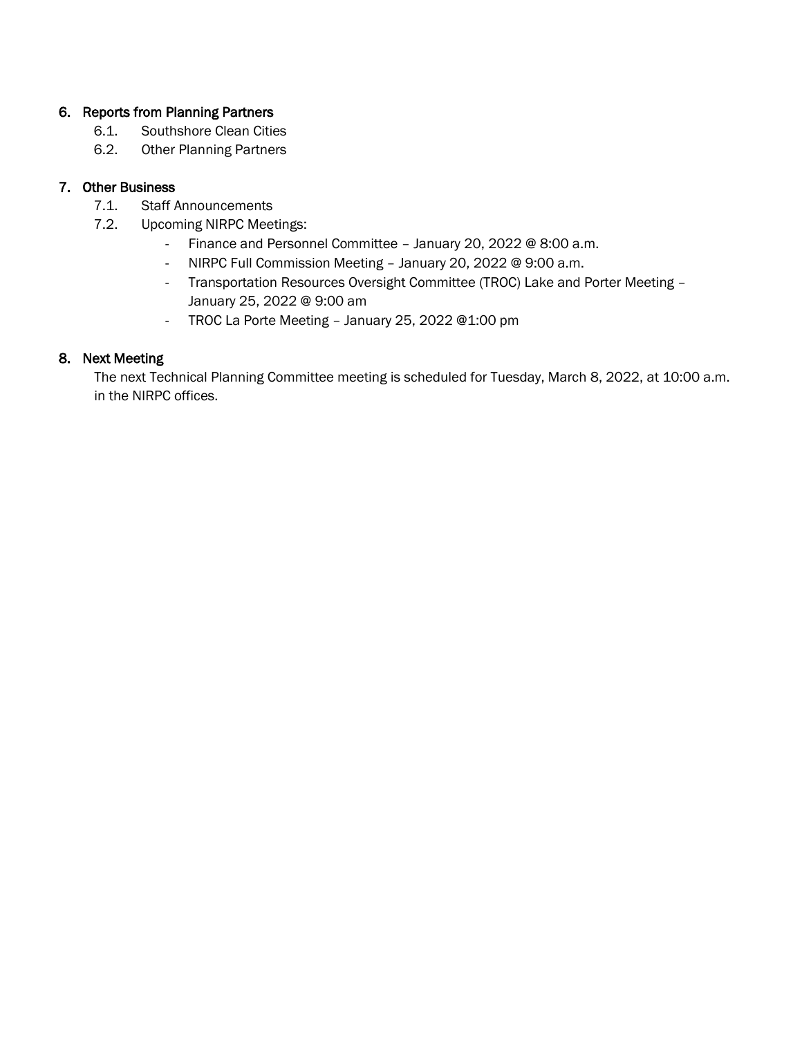#### 6. Reports from Planning Partners

- 6.1. Southshore Clean Cities
- 6.2. Other Planning Partners

#### 7. Other Business

- 7.1. Staff Announcements
- 7.2. Upcoming NIRPC Meetings:
	- Finance and Personnel Committee January 20, 2022 @ 8:00 a.m.
	- NIRPC Full Commission Meeting January 20, 2022 @ 9:00 a.m.
	- Transportation Resources Oversight Committee (TROC) Lake and Porter Meeting January 25, 2022 @ 9:00 am
	- TROC La Porte Meeting January 25, 2022 @1:00 pm

#### 8. Next Meeting

The next Technical Planning Committee meeting is scheduled for Tuesday, March 8, 2022, at 10:00 a.m. in the NIRPC offices.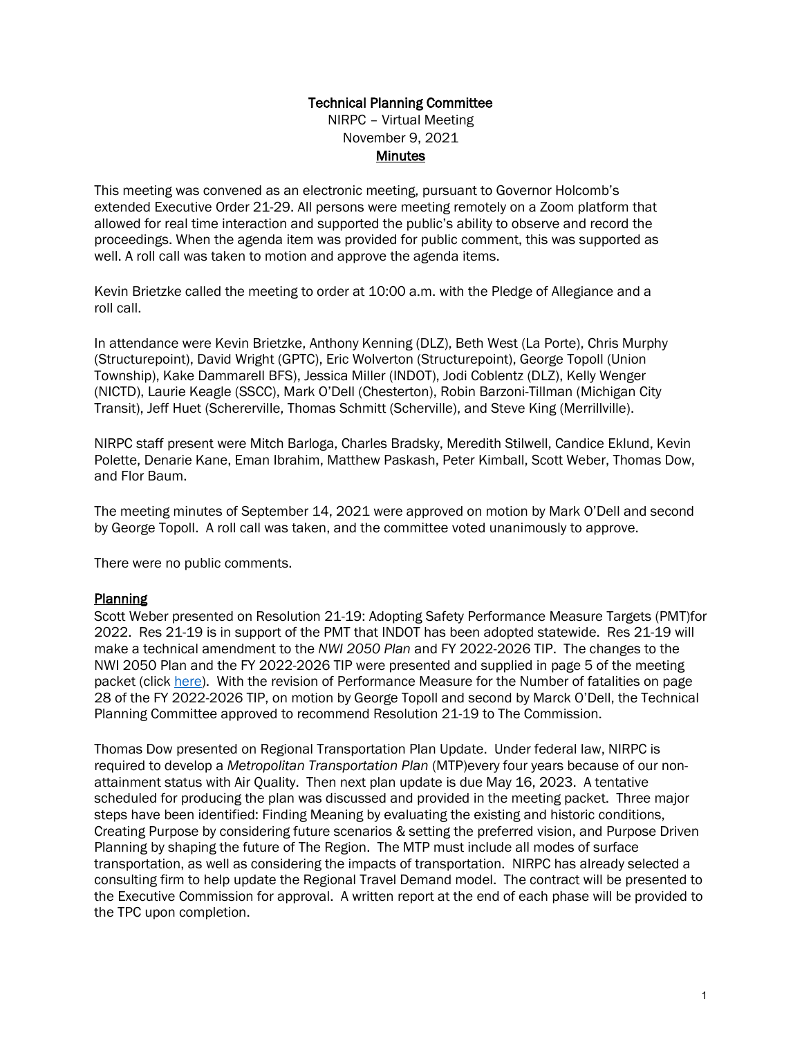## Technical Planning Committee

NIRPC – Virtual Meeting November 9, 2021 **Minutes** 

This meeting was convened as an electronic meeting, pursuant to Governor Holcomb's extended Executive Order 21-29. All persons were meeting remotely on a Zoom platform that allowed for real time interaction and supported the public's ability to observe and record the proceedings. When the agenda item was provided for public comment, this was supported as well. A roll call was taken to motion and approve the agenda items.

Kevin Brietzke called the meeting to order at 10:00 a.m. with the Pledge of Allegiance and a roll call.

In attendance were Kevin Brietzke, Anthony Kenning (DLZ), Beth West (La Porte), Chris Murphy (Structurepoint), David Wright (GPTC), Eric Wolverton (Structurepoint), George Topoll (Union Township), Kake Dammarell BFS), Jessica Miller (INDOT), Jodi Coblentz (DLZ), Kelly Wenger (NICTD), Laurie Keagle (SSCC), Mark O'Dell (Chesterton), Robin Barzoni-Tillman (Michigan City Transit), Jeff Huet (Schererville, Thomas Schmitt (Scherville), and Steve King (Merrillville).

NIRPC staff present were Mitch Barloga, Charles Bradsky, Meredith Stilwell, Candice Eklund, Kevin Polette, Denarie Kane, Eman Ibrahim, Matthew Paskash, Peter Kimball, Scott Weber, Thomas Dow, and Flor Baum.

The meeting minutes of September 14, 2021 were approved on motion by Mark O'Dell and second by George Topoll. A roll call was taken, and the committee voted unanimously to approve.

There were no public comments.

#### **Planning**

Scott Weber presented on Resolution 21-19: Adopting Safety Performance Measure Targets (PMT)for 2022. Res 21-19 is in support of the PMT that INDOT has been adopted statewide. Res 21-19 will make a technical amendment to the *NWI 2050 Plan* and FY 2022-2026 TIP. The changes to the NWI 2050 Plan and the FY 2022-2026 TIP were presented and supplied in page 5 of the meeting packet (click [here\)](https://nirpc.org/wp-content/uploads/TPC-Meeting-Packet-11.9.21.pdf). With the revision of Performance Measure for the Number of fatalities on page 28 of the FY 2022-2026 TIP, on motion by George Topoll and second by Marck O'Dell, the Technical Planning Committee approved to recommend Resolution 21-19 to The Commission.

Thomas Dow presented on Regional Transportation Plan Update. Under federal law, NIRPC is required to develop a *Metropolitan Transportation Plan* (MTP)every four years because of our nonattainment status with Air Quality. Then next plan update is due May 16, 2023. A tentative scheduled for producing the plan was discussed and provided in the meeting packet. Three major steps have been identified: Finding Meaning by evaluating the existing and historic conditions, Creating Purpose by considering future scenarios & setting the preferred vision, and Purpose Driven Planning by shaping the future of The Region. The MTP must include all modes of surface transportation, as well as considering the impacts of transportation. NIRPC has already selected a consulting firm to help update the Regional Travel Demand model. The contract will be presented to the Executive Commission for approval. A written report at the end of each phase will be provided to the TPC upon completion.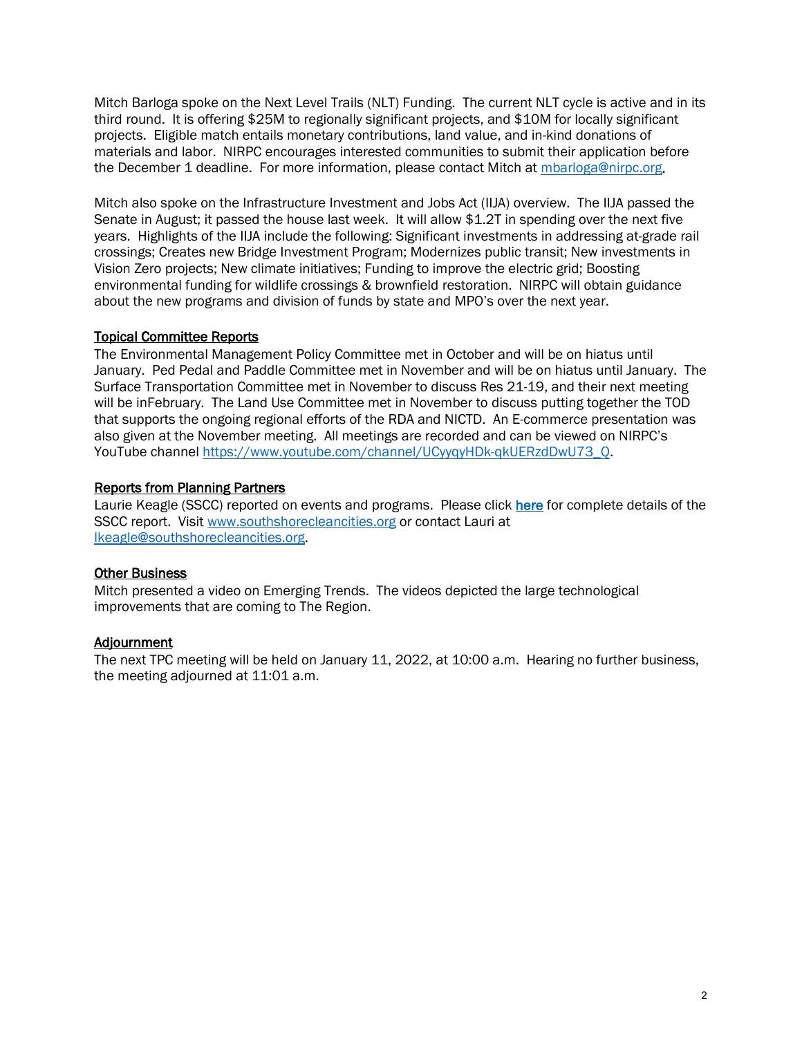Mitch Barloga spoke on the Next Level Trails (NLT) Funding. The current NLT cycle is active and in its third round. It is offering \$25M to regionally significant projects, and \$10M for locally significant projects. Eligible match entails monetary contributions, land value, and in-kind donations of materials and labor. NIRPC encourages interested communities to submit their application before the December 1 deadline. For more information, please contact Mitch at [mbarloga@nirpc.org.](mailto:mbarloga@nirpc.org)

Mitch also spoke on the Infrastructure Investment and Jobs Act (IIJA) overview. The IIJA passed the Senate in August; it passed the house last week. It will allow \$1.2T in spending over the next five years. Highlights of the IIJA include the following: Significant investments in addressing at-grade rail crossings; Creates new Bridge Investment Program; Modernizes public transit; New investments in Vision Zero projects; New climate initiatives; Funding to improve the electric grid; Boosting environmental funding for wildlife crossings & brownfield restoration. NIRPC will obtain guidance about the new programs and division of funds by state and MPO's over the next year.

#### Topical Committee Reports

The Environmental Management Policy Committee met in October and will be on hiatus until January. Ped Pedal and Paddle Committee met in November and will be on hiatus until January. The Surface Transportation Committee met in November to discuss Res 21-19, and their next meeting will be inFebruary. The Land Use Committee met in November to discuss putting together the TOD that supports the ongoing regional efforts of the RDA and NICTD. An E-commerce presentation was also given at the November meeting. All meetings are recorded and can be viewed on NIRPC's YouTube channel [https://www.youtube.com/channel/UCyyqyHDk-qkUERzdDwU73\\_Q.](https://www.youtube.com/channel/UCyyqyHDk-qkUERzdDwU73_Q)

#### Reports from Planning Partners

Laurie Keagle (SSCC) reported on events and programs. Please clic[k here](https://files.constantcontact.com/b4f049b7201/7170ec85-78a1-473f-b35a-56301d334a0a.pdf) for complete details of the SSCC report. Visit [www.southshorecleancities.org](http://www.southshorecleancities.org/) or contact Lauri at [lkeagle@southshorecleancities.org.](mailto:lkeagle@southshorecleancities.org)

#### Other Business

Mitch presented a video on Emerging Trends. The videos depicted the large technological improvements that are coming to The Region.

#### Adjournment

The next TPC meeting will be held on January 11, 2022, at 10:00 a.m. Hearing no further business, the meeting adjourned at 11:01 a.m.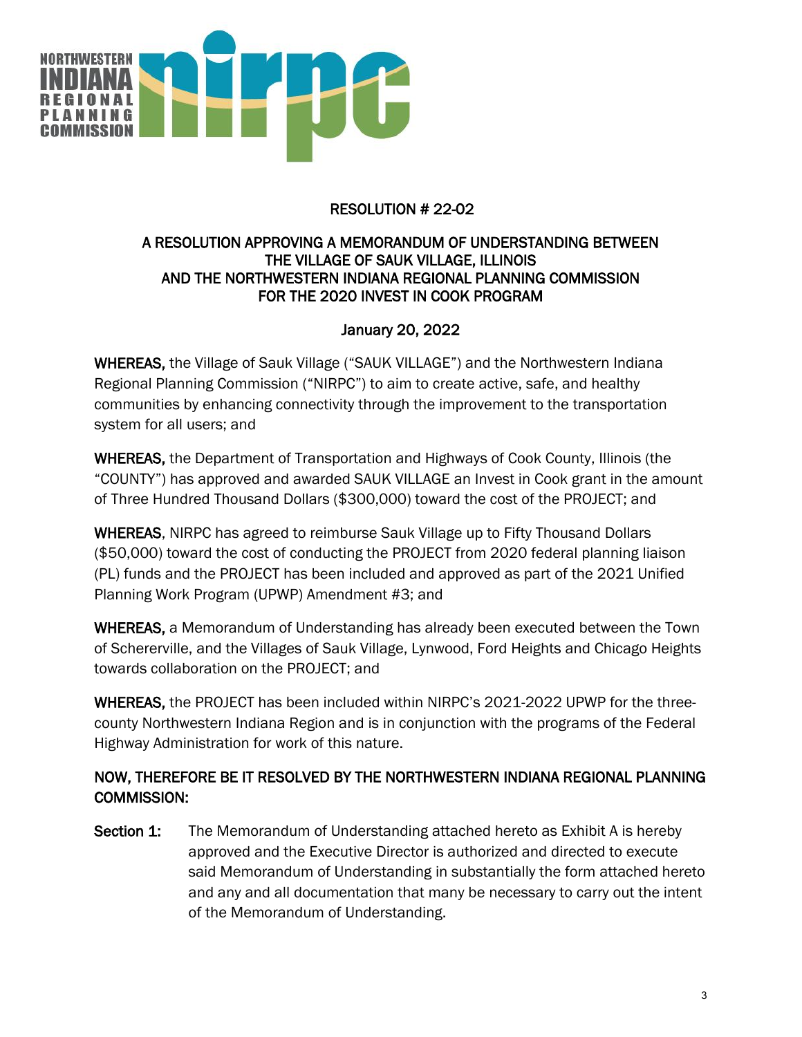

## RESOLUTION # 22-02

## A RESOLUTION APPROVING A MEMORANDUM OF UNDERSTANDING BETWEEN THE VILLAGE OF SAUK VILLAGE, ILLINOIS AND THE NORTHWESTERN INDIANA REGIONAL PLANNING COMMISSION FOR THE 2020 INVEST IN COOK PROGRAM

## January 20, 2022

WHEREAS, the Village of Sauk Village ("SAUK VILLAGE") and the Northwestern Indiana Regional Planning Commission ("NIRPC") to aim to create active, safe, and healthy communities by enhancing connectivity through the improvement to the transportation system for all users; and

WHEREAS, the Department of Transportation and Highways of Cook County, Illinois (the "COUNTY") has approved and awarded SAUK VILLAGE an Invest in Cook grant in the amount of Three Hundred Thousand Dollars (\$300,000) toward the cost of the PROJECT; and

WHEREAS, NIRPC has agreed to reimburse Sauk Village up to Fifty Thousand Dollars (\$50,000) toward the cost of conducting the PROJECT from 2020 federal planning liaison (PL) funds and the PROJECT has been included and approved as part of the 2021 Unified Planning Work Program (UPWP) Amendment #3; and

WHEREAS, a Memorandum of Understanding has already been executed between the Town of Schererville, and the Villages of Sauk Village, Lynwood, Ford Heights and Chicago Heights towards collaboration on the PROJECT; and

WHEREAS, the PROJECT has been included within NIRPC's 2021-2022 UPWP for the threecounty Northwestern Indiana Region and is in conjunction with the programs of the Federal Highway Administration for work of this nature.

## NOW, THEREFORE BE IT RESOLVED BY THE NORTHWESTERN INDIANA REGIONAL PLANNING COMMISSION:

Section 1: The Memorandum of Understanding attached hereto as Exhibit A is hereby approved and the Executive Director is authorized and directed to execute said Memorandum of Understanding in substantially the form attached hereto and any and all documentation that many be necessary to carry out the intent of the Memorandum of Understanding.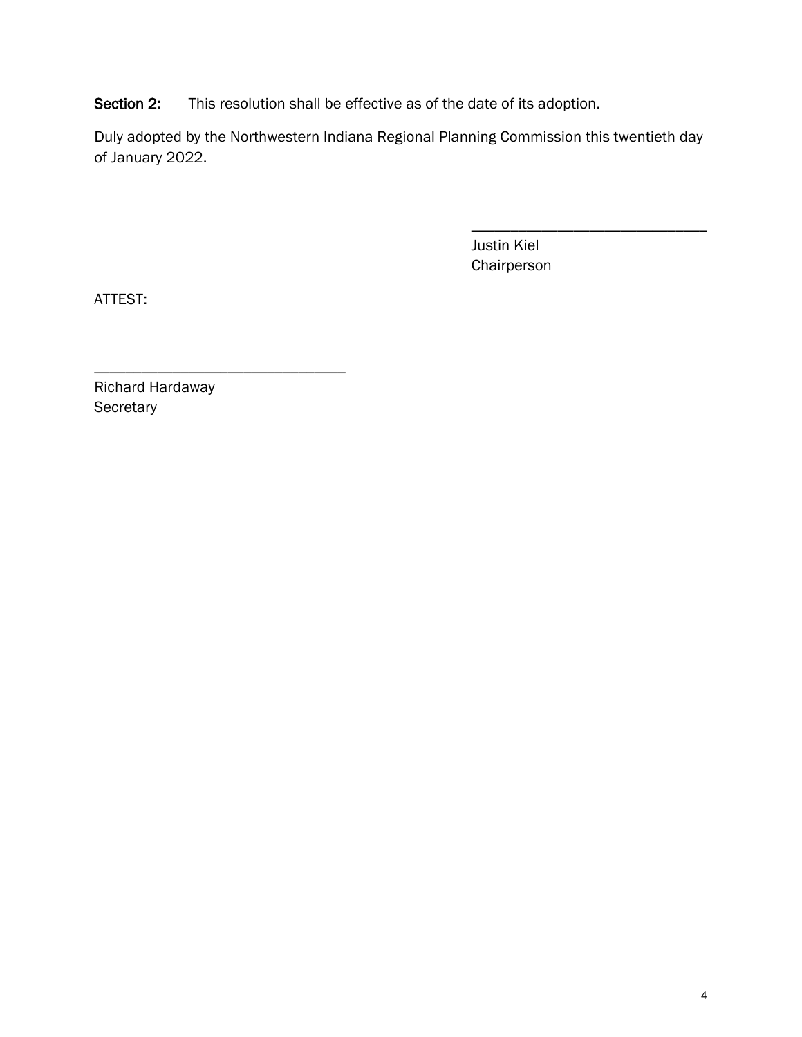Section 2: This resolution shall be effective as of the date of its adoption.

Duly adopted by the Northwestern Indiana Regional Planning Commission this twentieth day of January 2022.

> Justin Kiel Chairperson

\_\_\_\_\_\_\_\_\_\_\_\_\_\_\_\_\_\_\_\_\_\_\_\_\_\_\_\_\_\_

ATTEST:

\_\_\_\_\_\_\_\_\_\_\_\_\_\_\_\_\_\_\_\_\_\_\_\_\_\_\_\_\_\_\_\_ Richard Hardaway **Secretary**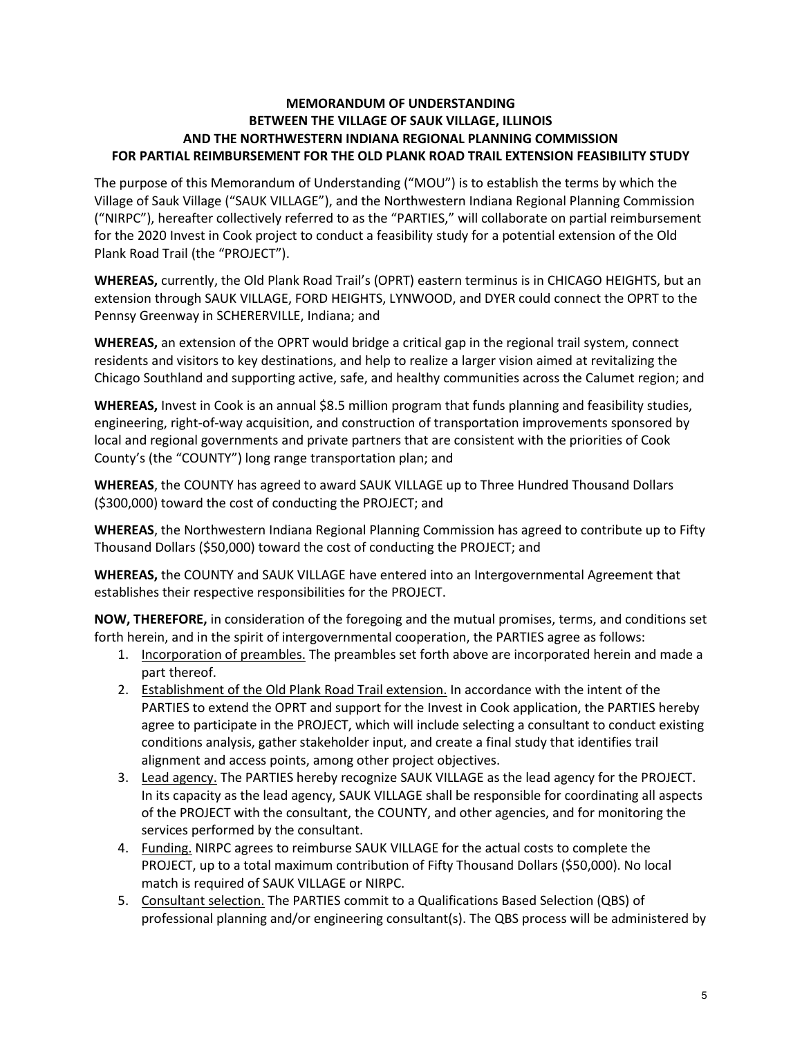#### **MEMORANDUM OF UNDERSTANDING BETWEEN THE VILLAGE OF SAUK VILLAGE, ILLINOIS AND THE NORTHWESTERN INDIANA REGIONAL PLANNING COMMISSION FOR PARTIAL REIMBURSEMENT FOR THE OLD PLANK ROAD TRAIL EXTENSION FEASIBILITY STUDY**

The purpose of this Memorandum of Understanding ("MOU") is to establish the terms by which the Village of Sauk Village ("SAUK VILLAGE"), and the Northwestern Indiana Regional Planning Commission ("NIRPC"), hereafter collectively referred to as the "PARTIES," will collaborate on partial reimbursement for the 2020 Invest in Cook project to conduct a feasibility study for a potential extension of the Old Plank Road Trail (the "PROJECT").

**WHEREAS,** currently, the Old Plank Road Trail's (OPRT) eastern terminus is in CHICAGO HEIGHTS, but an extension through SAUK VILLAGE, FORD HEIGHTS, LYNWOOD, and DYER could connect the OPRT to the Pennsy Greenway in SCHERERVILLE, Indiana; and

**WHEREAS,** an extension of the OPRT would bridge a critical gap in the regional trail system, connect residents and visitors to key destinations, and help to realize a larger vision aimed at revitalizing the Chicago Southland and supporting active, safe, and healthy communities across the Calumet region; and

**WHEREAS,** Invest in Cook is an annual \$8.5 million program that funds planning and feasibility studies, engineering, right-of-way acquisition, and construction of transportation improvements sponsored by local and regional governments and private partners that are consistent with the priorities of Cook County's (the "COUNTY") long range transportation plan; and

**WHEREAS**, the COUNTY has agreed to award SAUK VILLAGE up to Three Hundred Thousand Dollars (\$300,000) toward the cost of conducting the PROJECT; and

**WHEREAS**, the Northwestern Indiana Regional Planning Commission has agreed to contribute up to Fifty Thousand Dollars (\$50,000) toward the cost of conducting the PROJECT; and

**WHEREAS,** the COUNTY and SAUK VILLAGE have entered into an Intergovernmental Agreement that establishes their respective responsibilities for the PROJECT.

**NOW, THEREFORE,** in consideration of the foregoing and the mutual promises, terms, and conditions set forth herein, and in the spirit of intergovernmental cooperation, the PARTIES agree as follows:

- 1. Incorporation of preambles. The preambles set forth above are incorporated herein and made a part thereof.
- 2. Establishment of the Old Plank Road Trail extension. In accordance with the intent of the PARTIES to extend the OPRT and support for the Invest in Cook application, the PARTIES hereby agree to participate in the PROJECT, which will include selecting a consultant to conduct existing conditions analysis, gather stakeholder input, and create a final study that identifies trail alignment and access points, among other project objectives.
- 3. Lead agency. The PARTIES hereby recognize SAUK VILLAGE as the lead agency for the PROJECT. In its capacity as the lead agency, SAUK VILLAGE shall be responsible for coordinating all aspects of the PROJECT with the consultant, the COUNTY, and other agencies, and for monitoring the services performed by the consultant.
- 4. Funding. NIRPC agrees to reimburse SAUK VILLAGE for the actual costs to complete the PROJECT, up to a total maximum contribution of Fifty Thousand Dollars (\$50,000). No local match is required of SAUK VILLAGE or NIRPC.
- 5. Consultant selection. The PARTIES commit to a Qualifications Based Selection (QBS) of professional planning and/or engineering consultant(s). The QBS process will be administered by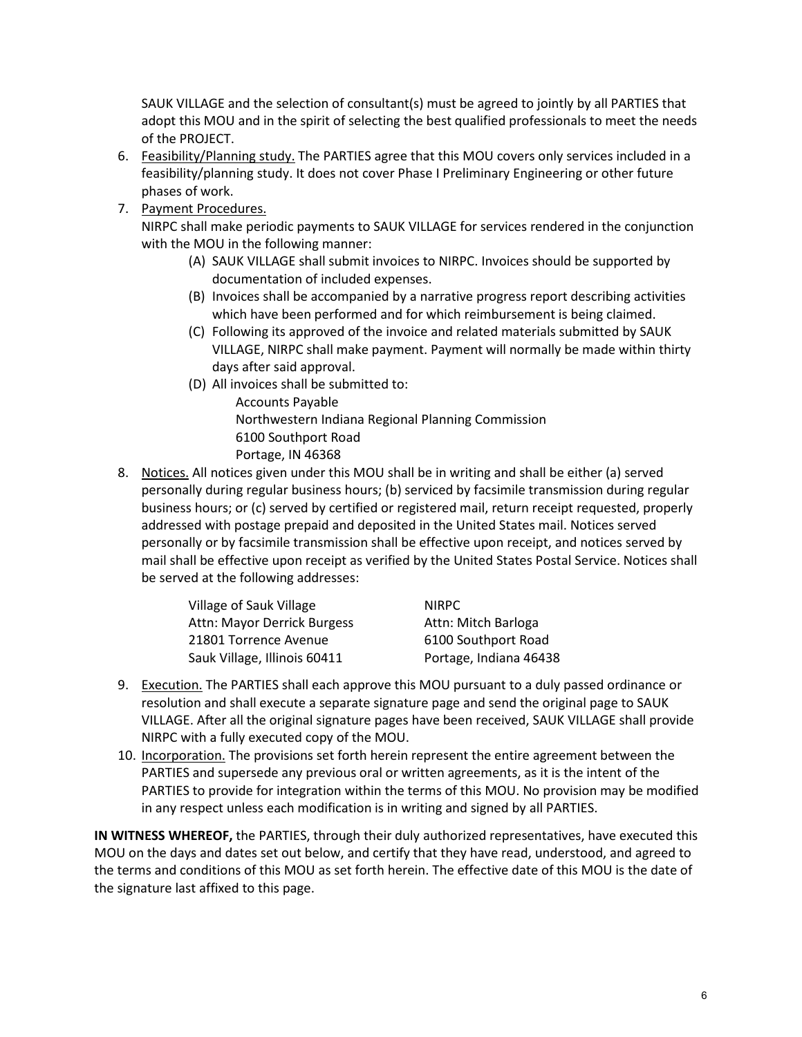SAUK VILLAGE and the selection of consultant(s) must be agreed to jointly by all PARTIES that adopt this MOU and in the spirit of selecting the best qualified professionals to meet the needs of the PROJECT.

- 6. Feasibility/Planning study. The PARTIES agree that this MOU covers only services included in a feasibility/planning study. It does not cover Phase I Preliminary Engineering or other future phases of work.
- 7. Payment Procedures.

NIRPC shall make periodic payments to SAUK VILLAGE for services rendered in the conjunction with the MOU in the following manner:

- (A) SAUK VILLAGE shall submit invoices to NIRPC. Invoices should be supported by documentation of included expenses.
- (B) Invoices shall be accompanied by a narrative progress report describing activities which have been performed and for which reimbursement is being claimed.
- (C) Following its approved of the invoice and related materials submitted by SAUK VILLAGE, NIRPC shall make payment. Payment will normally be made within thirty days after said approval.
- (D) All invoices shall be submitted to:
	- Accounts Payable Northwestern Indiana Regional Planning Commission 6100 Southport Road Portage, IN 46368
- 8. Notices. All notices given under this MOU shall be in writing and shall be either (a) served personally during regular business hours; (b) serviced by facsimile transmission during regular business hours; or (c) served by certified or registered mail, return receipt requested, properly addressed with postage prepaid and deposited in the United States mail. Notices served personally or by facsimile transmission shall be effective upon receipt, and notices served by mail shall be effective upon receipt as verified by the United States Postal Service. Notices shall be served at the following addresses:

| Village of Sauk Village      | NIRPC.                 |
|------------------------------|------------------------|
| Attn: Mayor Derrick Burgess  | Attn: Mitch Barloga    |
| 21801 Torrence Avenue        | 6100 Southport Road    |
| Sauk Village, Illinois 60411 | Portage, Indiana 46438 |

- 9. Execution. The PARTIES shall each approve this MOU pursuant to a duly passed ordinance or resolution and shall execute a separate signature page and send the original page to SAUK VILLAGE. After all the original signature pages have been received, SAUK VILLAGE shall provide NIRPC with a fully executed copy of the MOU.
- 10. Incorporation. The provisions set forth herein represent the entire agreement between the PARTIES and supersede any previous oral or written agreements, as it is the intent of the PARTIES to provide for integration within the terms of this MOU. No provision may be modified in any respect unless each modification is in writing and signed by all PARTIES.

**IN WITNESS WHEREOF,** the PARTIES, through their duly authorized representatives, have executed this MOU on the days and dates set out below, and certify that they have read, understood, and agreed to the terms and conditions of this MOU as set forth herein. The effective date of this MOU is the date of the signature last affixed to this page.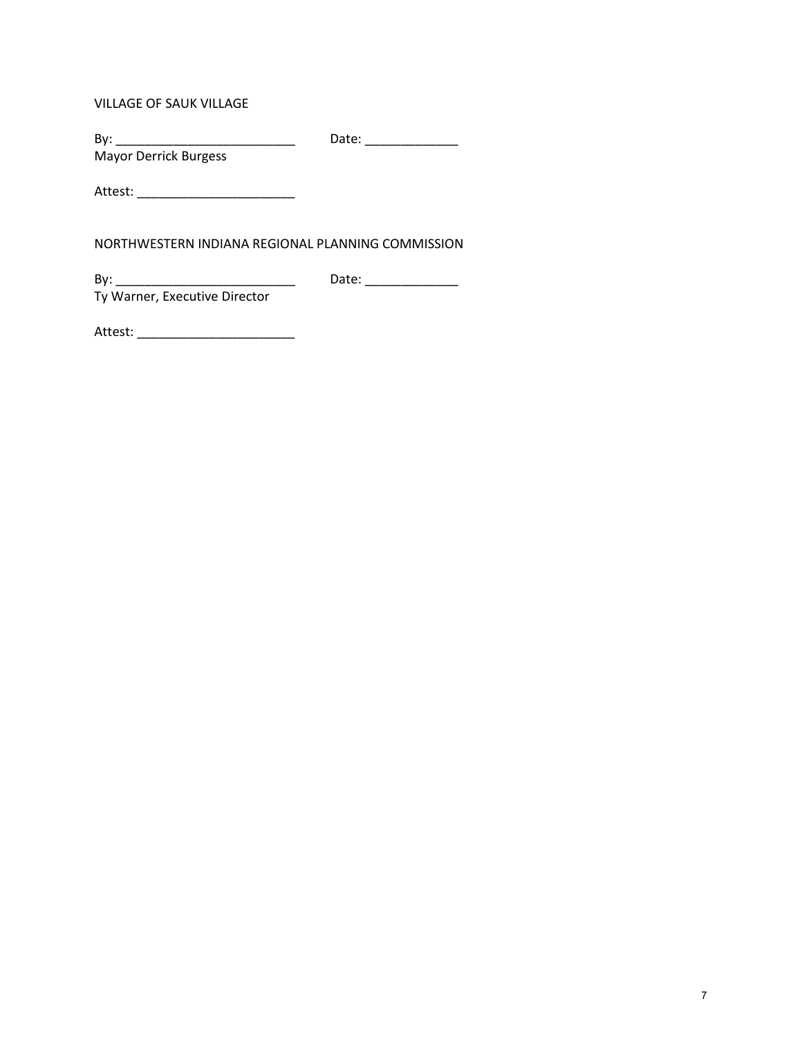VILLAGE OF SAUK VILLAGE

By: \_\_\_\_\_\_\_\_\_\_\_\_\_\_\_\_\_\_\_\_\_\_\_\_\_\_\_\_\_\_\_\_\_ Date: \_\_\_\_\_\_\_\_\_\_\_\_\_\_\_\_\_\_\_\_\_\_\_\_\_\_\_\_\_\_\_\_\_\_

Mayor Derrick Burgess

Attest: \_\_\_\_\_\_\_\_\_\_\_\_\_\_\_\_\_\_\_\_\_\_

NORTHWESTERN INDIANA REGIONAL PLANNING COMMISSION

By: \_\_\_\_\_\_\_\_\_\_\_\_\_\_\_\_\_\_\_\_\_\_\_\_\_ Date: \_\_\_\_\_\_\_\_\_\_\_\_\_

Ty Warner, Executive Director

Attest: \_\_\_\_\_\_\_\_\_\_\_\_\_\_\_\_\_\_\_\_\_\_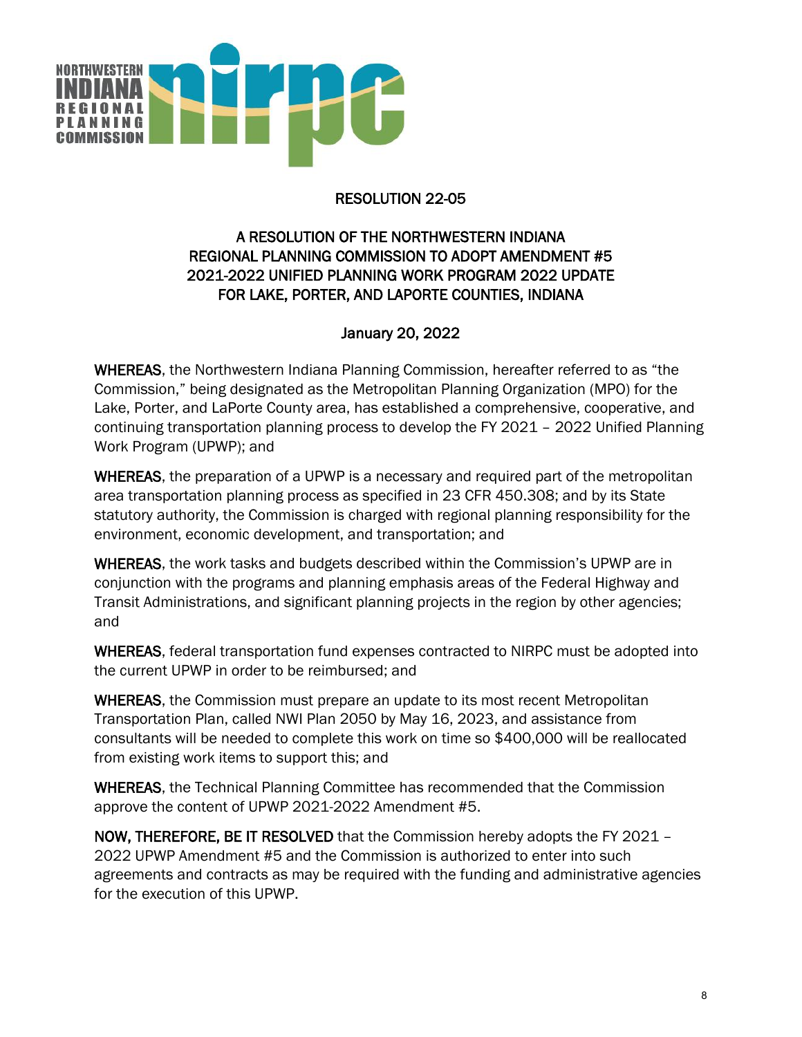

## RESOLUTION 22-05

## A RESOLUTION OF THE NORTHWESTERN INDIANA REGIONAL PLANNING COMMISSION TO ADOPT AMENDMENT #5 2021-2022 UNIFIED PLANNING WORK PROGRAM 2022 UPDATE FOR LAKE, PORTER, AND LAPORTE COUNTIES, INDIANA

## January 20, 2022

WHEREAS, the Northwestern Indiana Planning Commission, hereafter referred to as "the Commission," being designated as the Metropolitan Planning Organization (MPO) for the Lake, Porter, and LaPorte County area, has established a comprehensive, cooperative, and continuing transportation planning process to develop the FY 2021 – 2022 Unified Planning Work Program (UPWP); and

WHEREAS, the preparation of a UPWP is a necessary and required part of the metropolitan area transportation planning process as specified in 23 CFR 450.308; and by its State statutory authority, the Commission is charged with regional planning responsibility for the environment, economic development, and transportation; and

WHEREAS, the work tasks and budgets described within the Commission's UPWP are in conjunction with the programs and planning emphasis areas of the Federal Highway and Transit Administrations, and significant planning projects in the region by other agencies; and

WHEREAS, federal transportation fund expenses contracted to NIRPC must be adopted into the current UPWP in order to be reimbursed; and

WHEREAS, the Commission must prepare an update to its most recent Metropolitan Transportation Plan, called NWI Plan 2050 by May 16, 2023, and assistance from consultants will be needed to complete this work on time so \$400,000 will be reallocated from existing work items to support this; and

WHEREAS, the Technical Planning Committee has recommended that the Commission approve the content of UPWP 2021-2022 Amendment #5.

NOW, THEREFORE, BE IT RESOLVED that the Commission hereby adopts the FY 2021 – 2022 UPWP Amendment #5 and the Commission is authorized to enter into such agreements and contracts as may be required with the funding and administrative agencies for the execution of this UPWP.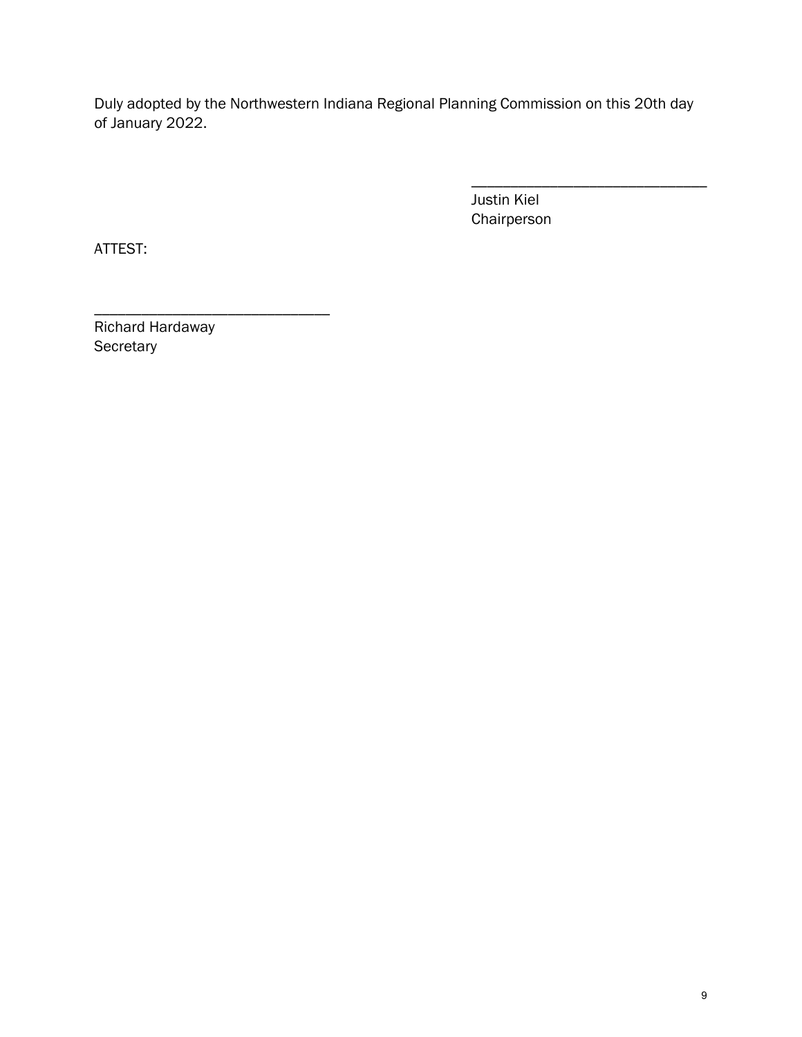Duly adopted by the Northwestern Indiana Regional Planning Commission on this 20th day of January 2022.

> \_\_\_\_\_\_\_\_\_\_\_\_\_\_\_\_\_\_\_\_\_\_\_\_\_\_\_\_\_\_ Justin Kiel Chairperson

ATTEST:

Richard Hardaway **Secretary** 

\_\_\_\_\_\_\_\_\_\_\_\_\_\_\_\_\_\_\_\_\_\_\_\_\_\_\_\_\_\_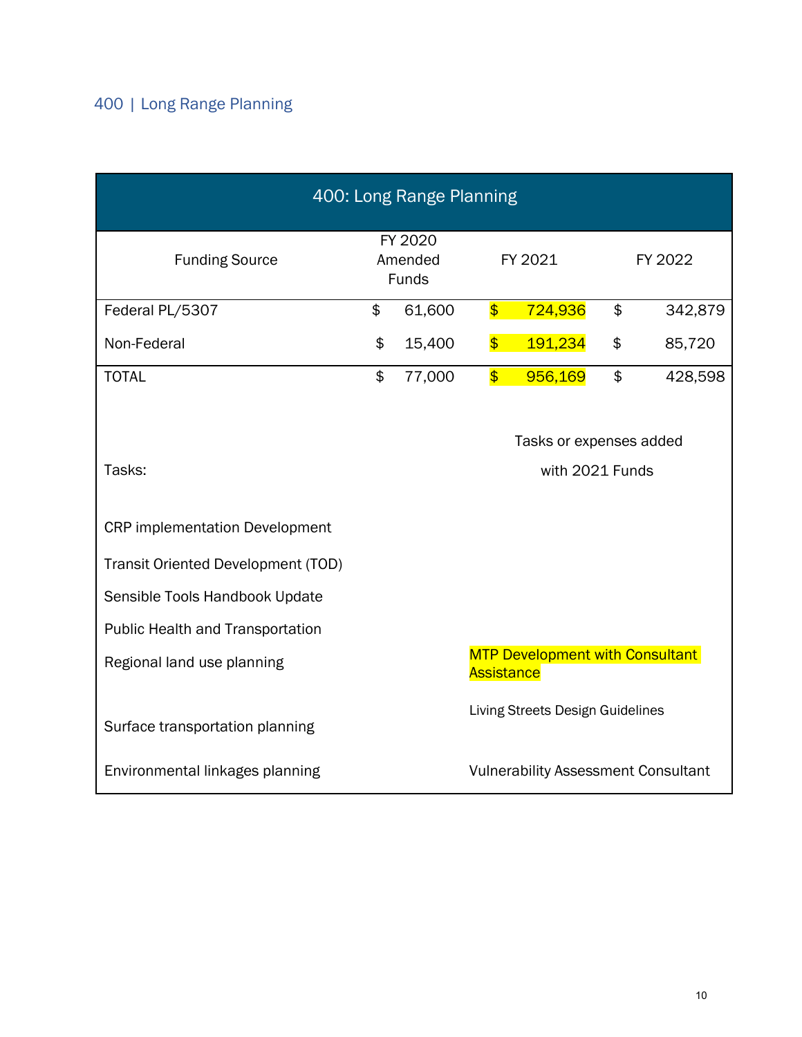| 400: Long Range Planning                                                                                                                                           |                                    |        |                                                      |                                            |         |         |  |
|--------------------------------------------------------------------------------------------------------------------------------------------------------------------|------------------------------------|--------|------------------------------------------------------|--------------------------------------------|---------|---------|--|
| <b>Funding Source</b>                                                                                                                                              | FY 2020<br>Amended<br><b>Funds</b> |        | FY 2021                                              |                                            | FY 2022 |         |  |
| Federal PL/5307                                                                                                                                                    | \$                                 | 61,600 | $\overline{\mathbf{S}}$                              | 724,936                                    | \$      | 342,879 |  |
| Non-Federal                                                                                                                                                        | \$                                 | 15,400 |                                                      | 191,234                                    | \$      | 85,720  |  |
| <b>TOTAL</b>                                                                                                                                                       | \$                                 | 77,000 | $\overline{\mathbf{S}}$                              | 956,169                                    | \$      | 428,598 |  |
| Tasks:<br><b>CRP</b> implementation Development<br><b>Transit Oriented Development (TOD)</b><br>Sensible Tools Handbook Update<br>Public Health and Transportation |                                    |        |                                                      | Tasks or expenses added<br>with 2021 Funds |         |         |  |
| Regional land use planning                                                                                                                                         |                                    |        | <b>MTP Development with Consultant</b><br>Assistance |                                            |         |         |  |
| Surface transportation planning                                                                                                                                    |                                    |        | Living Streets Design Guidelines                     |                                            |         |         |  |
| Environmental linkages planning                                                                                                                                    |                                    |        | <b>Vulnerability Assessment Consultant</b>           |                                            |         |         |  |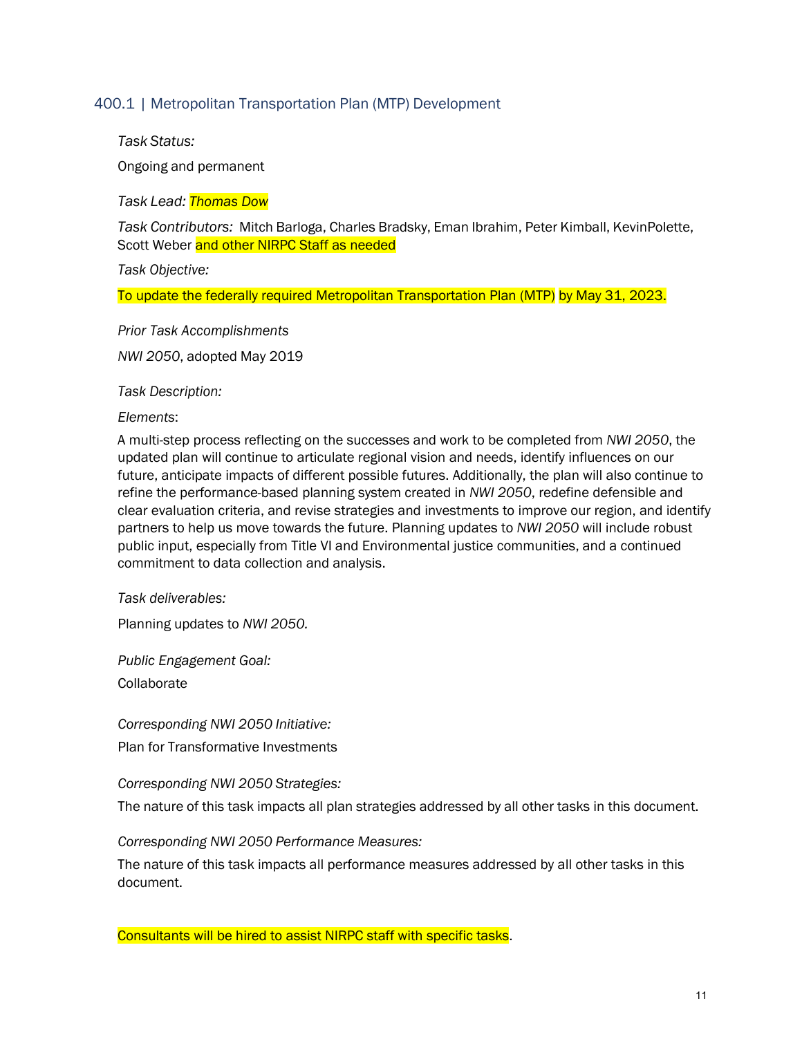#### 400.1 | Metropolitan Transportation Plan (MTP) Development

*Task Status:*

Ongoing and permanent

*Task Lead: Thomas Dow*

*Task Contributors:* Mitch Barloga, Charles Bradsky, Eman Ibrahim, Peter Kimball, KevinPolette, Scott Weber and other NIRPC Staff as needed

*Task Objective:*

To update the federally required Metropolitan Transportation Plan (MTP) by May 31, 2023.

*Prior Task Accomplishments*

*NWI 2050*, adopted May 2019

*Task Description:*

*Elements*:

A multi-step process reflecting on the successes and work to be completed from *NWI 2050*, the updated plan will continue to articulate regional vision and needs, identify influences on our future, anticipate impacts of different possible futures. Additionally, the plan will also continue to refine the performance-based planning system created in *NWI 2050*, redefine defensible and clear evaluation criteria, and revise strategies and investments to improve our region, and identify partners to help us move towards the future. Planning updates to *NWI 2050* will include robust public input, especially from Title VI and Environmental justice communities, and a continued commitment to data collection and analysis.

*Task deliverables:*

Planning updates to *NWI 2050.*

*Public Engagement Goal:*

Collaborate

*Corresponding NWI 2050 Initiative:*

Plan for Transformative Investments

*Corresponding NWI 2050 Strategies:*

The nature of this task impacts all plan strategies addressed by all other tasks in this document.

*Corresponding NWI 2050 Performance Measures:*

The nature of this task impacts all performance measures addressed by all other tasks in this document.

Consultants will be hired to assist NIRPC staff with specific tasks.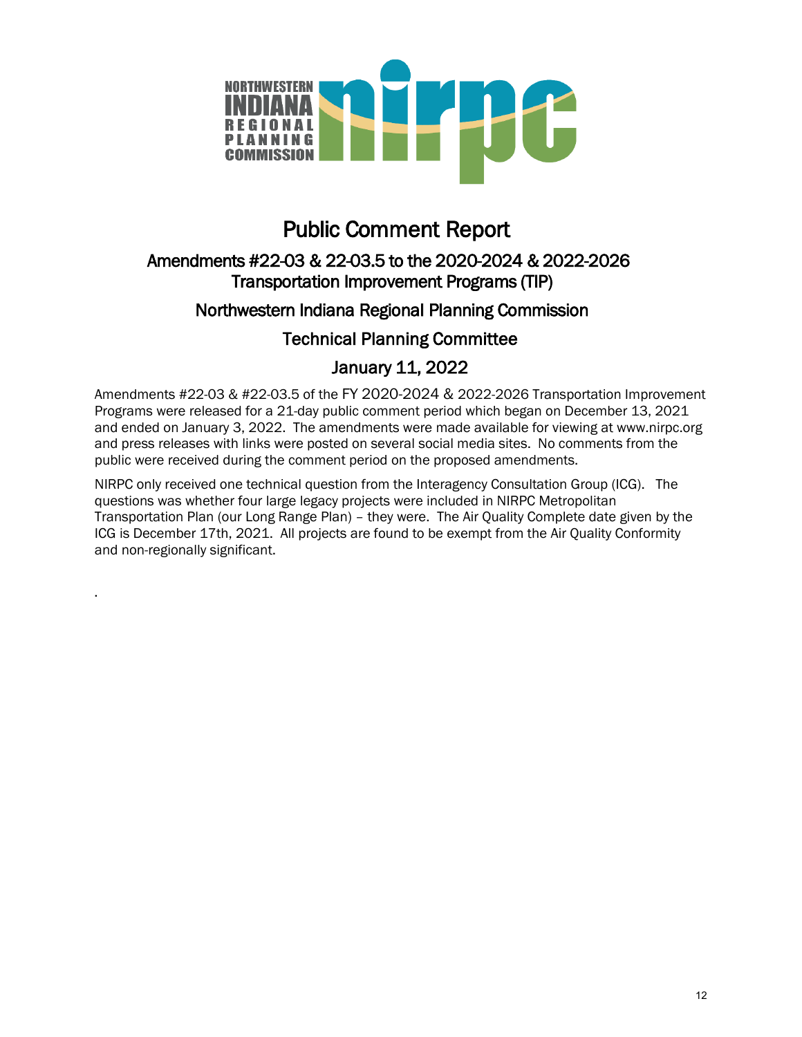

# Public Comment Report

# Amendments #22-03 & 22-03.5 to the 2020-2024 & 2022-2026 Transportation Improvement Programs (TIP)

# Northwestern Indiana Regional Planning Commission

# Technical Planning Committee

# January 11, 2022

Amendments #22-03 & #22-03.5 of the FY 2020-2024 & 2022-2026 Transportation Improvement Programs were released for a 21-day public comment period which began on December 13, 2021 and ended on January 3, 2022. The amendments were made available for viewing at www.nirpc.org and press releases with links were posted on several social media sites. No comments from the public were received during the comment period on the proposed amendments.

NIRPC only received one technical question from the Interagency Consultation Group (ICG). The questions was whether four large legacy projects were included in NIRPC Metropolitan Transportation Plan (our Long Range Plan) – they were. The Air Quality Complete date given by the ICG is December 17th, 2021. All projects are found to be exempt from the Air Quality Conformity and non-regionally significant.

.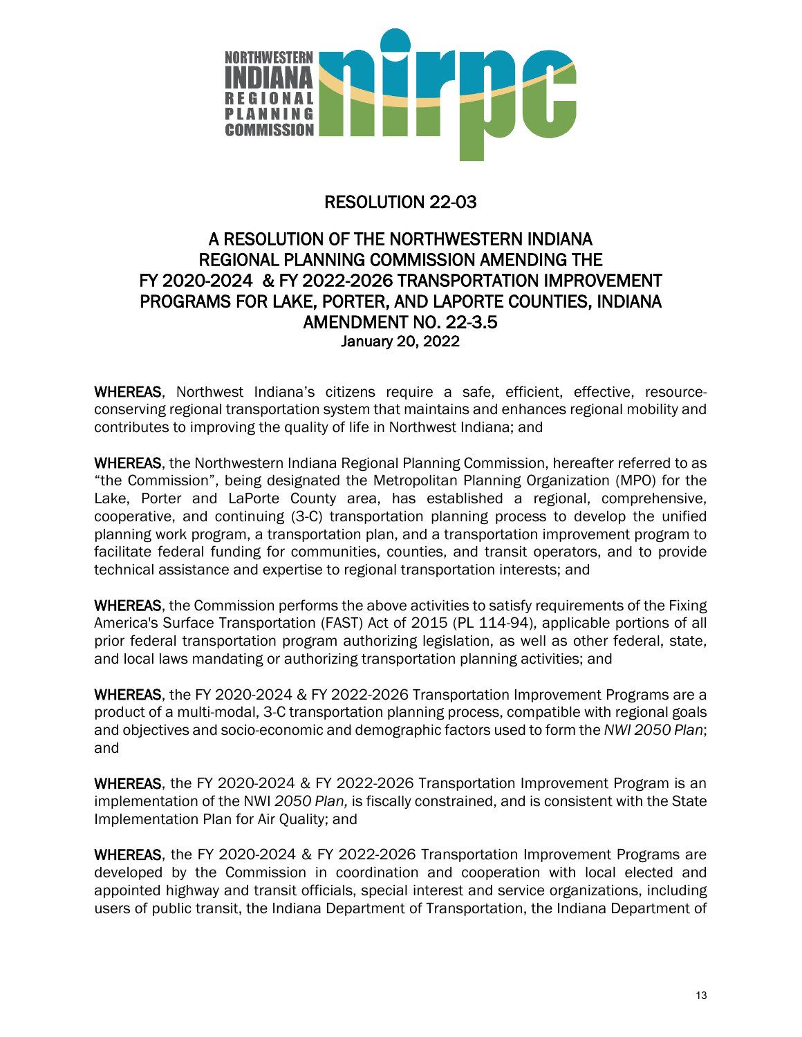

# RESOLUTION 22-03

# A RESOLUTION OF THE NORTHWESTERN INDIANA REGIONAL PLANNING COMMISSION AMENDING THE FY 2020-2024 & FY 2022-2026 TRANSPORTATION IMPROVEMENT PROGRAMS FOR LAKE, PORTER, AND LAPORTE COUNTIES, INDIANA AMENDMENT NO. 22-3.5 January 20, 2022

WHEREAS, Northwest Indiana's citizens require a safe, efficient, effective, resourceconserving regional transportation system that maintains and enhances regional mobility and contributes to improving the quality of life in Northwest Indiana; and

WHEREAS, the Northwestern Indiana Regional Planning Commission, hereafter referred to as "the Commission", being designated the Metropolitan Planning Organization (MPO) for the Lake, Porter and LaPorte County area, has established a regional, comprehensive, cooperative, and continuing (3-C) transportation planning process to develop the unified planning work program, a transportation plan, and a transportation improvement program to facilitate federal funding for communities, counties, and transit operators, and to provide technical assistance and expertise to regional transportation interests; and

WHEREAS, the Commission performs the above activities to satisfy requirements of the Fixing America's Surface Transportation (FAST) Act of 2015 (PL 114-94), applicable portions of all prior federal transportation program authorizing legislation, as well as other federal, state, and local laws mandating or authorizing transportation planning activities; and

WHEREAS, the FY 2020-2024 & FY 2022-2026 Transportation Improvement Programs are a product of a multi-modal, 3-C transportation planning process, compatible with regional goals and objectives and socio-economic and demographic factors used to form the *NWI 2050 Plan*; and

WHEREAS, the FY 2020-2024 & FY 2022-2026 Transportation Improvement Program is an implementation of the NWI *2050 Plan,* is fiscally constrained, and is consistent with the State Implementation Plan for Air Quality; and

WHEREAS, the FY 2020-2024 & FY 2022-2026 Transportation Improvement Programs are developed by the Commission in coordination and cooperation with local elected and appointed highway and transit officials, special interest and service organizations, including users of public transit, the Indiana Department of Transportation, the Indiana Department of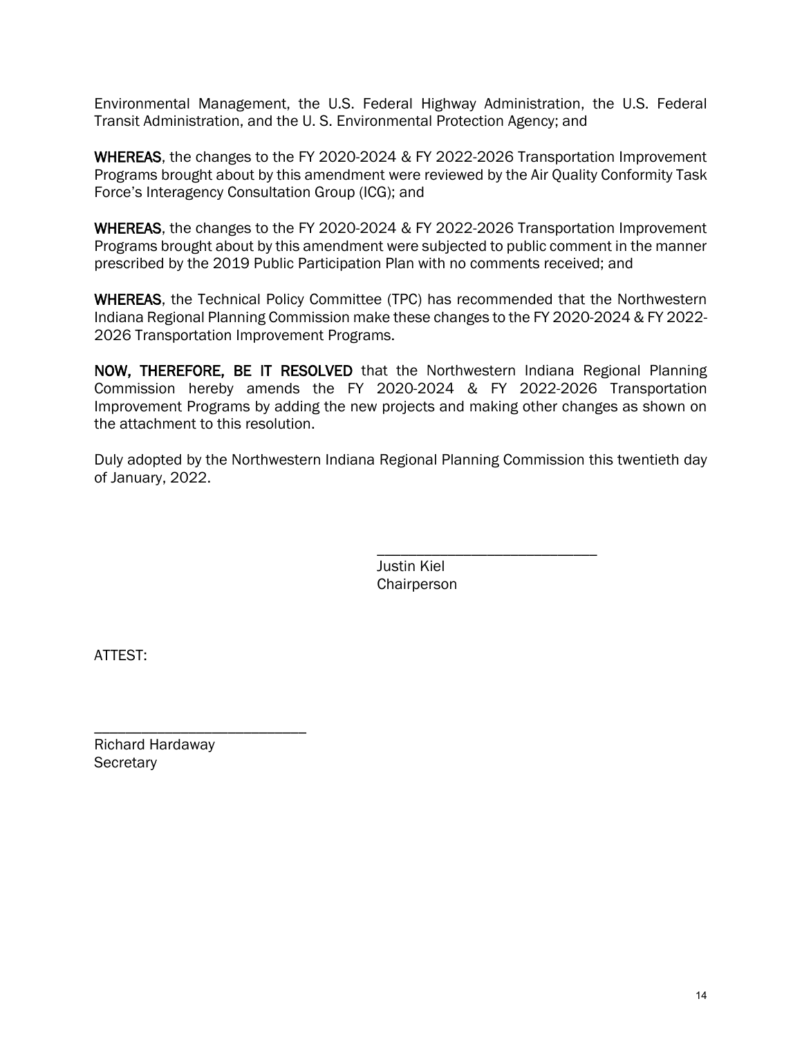Environmental Management, the U.S. Federal Highway Administration, the U.S. Federal Transit Administration, and the U. S. Environmental Protection Agency; and

WHEREAS, the changes to the FY 2020-2024 & FY 2022-2026 Transportation Improvement Programs brought about by this amendment were reviewed by the Air Quality Conformity Task Force's Interagency Consultation Group (ICG); and

WHEREAS, the changes to the FY 2020-2024 & FY 2022-2026 Transportation Improvement Programs brought about by this amendment were subjected to public comment in the manner prescribed by the 2019 Public Participation Plan with no comments received; and

WHEREAS, the Technical Policy Committee (TPC) has recommended that the Northwestern Indiana Regional Planning Commission make these changes to the FY 2020-2024 & FY 2022- 2026 Transportation Improvement Programs.

NOW, THEREFORE, BE IT RESOLVED that the Northwestern Indiana Regional Planning Commission hereby amends the FY 2020-2024 & FY 2022-2026 Transportation Improvement Programs by adding the new projects and making other changes as shown on the attachment to this resolution.

Duly adopted by the Northwestern Indiana Regional Planning Commission this twentieth day of January, 2022.

> \_\_\_\_\_\_\_\_\_\_\_\_\_\_\_\_\_\_\_\_\_\_\_\_\_\_\_\_ Justin Kiel **Chairperson**

ATTEST:

\_\_\_\_\_\_\_\_\_\_\_\_\_\_\_\_\_\_\_\_\_\_\_\_\_\_\_ Richard Hardaway **Secretary**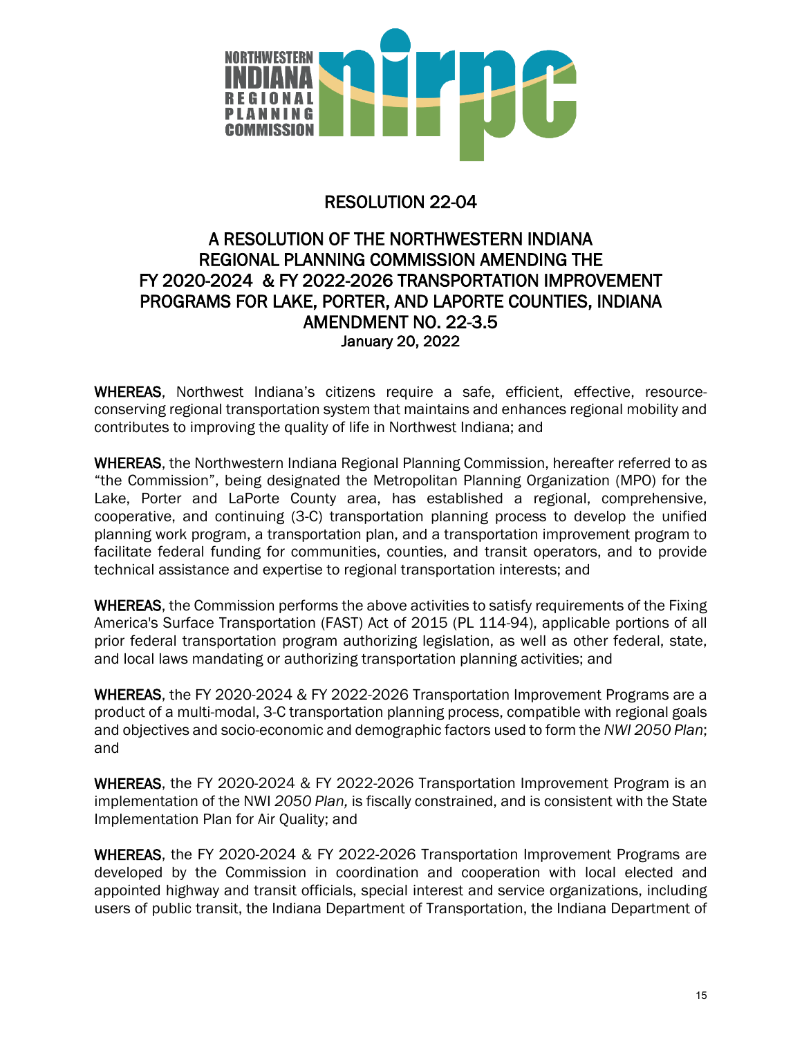

# RESOLUTION 22-04

# A RESOLUTION OF THE NORTHWESTERN INDIANA REGIONAL PLANNING COMMISSION AMENDING THE FY 2020-2024 & FY 2022-2026 TRANSPORTATION IMPROVEMENT PROGRAMS FOR LAKE, PORTER, AND LAPORTE COUNTIES, INDIANA AMENDMENT NO. 22-3.5 January 20, 2022

WHEREAS, Northwest Indiana's citizens require a safe, efficient, effective, resourceconserving regional transportation system that maintains and enhances regional mobility and contributes to improving the quality of life in Northwest Indiana; and

WHEREAS, the Northwestern Indiana Regional Planning Commission, hereafter referred to as "the Commission", being designated the Metropolitan Planning Organization (MPO) for the Lake, Porter and LaPorte County area, has established a regional, comprehensive, cooperative, and continuing (3-C) transportation planning process to develop the unified planning work program, a transportation plan, and a transportation improvement program to facilitate federal funding for communities, counties, and transit operators, and to provide technical assistance and expertise to regional transportation interests; and

WHEREAS, the Commission performs the above activities to satisfy requirements of the Fixing America's Surface Transportation (FAST) Act of 2015 (PL 114-94), applicable portions of all prior federal transportation program authorizing legislation, as well as other federal, state, and local laws mandating or authorizing transportation planning activities; and

WHEREAS, the FY 2020-2024 & FY 2022-2026 Transportation Improvement Programs are a product of a multi-modal, 3-C transportation planning process, compatible with regional goals and objectives and socio-economic and demographic factors used to form the *NWI 2050 Plan*; and

WHEREAS, the FY 2020-2024 & FY 2022-2026 Transportation Improvement Program is an implementation of the NWI *2050 Plan,* is fiscally constrained, and is consistent with the State Implementation Plan for Air Quality; and

WHEREAS, the FY 2020-2024 & FY 2022-2026 Transportation Improvement Programs are developed by the Commission in coordination and cooperation with local elected and appointed highway and transit officials, special interest and service organizations, including users of public transit, the Indiana Department of Transportation, the Indiana Department of